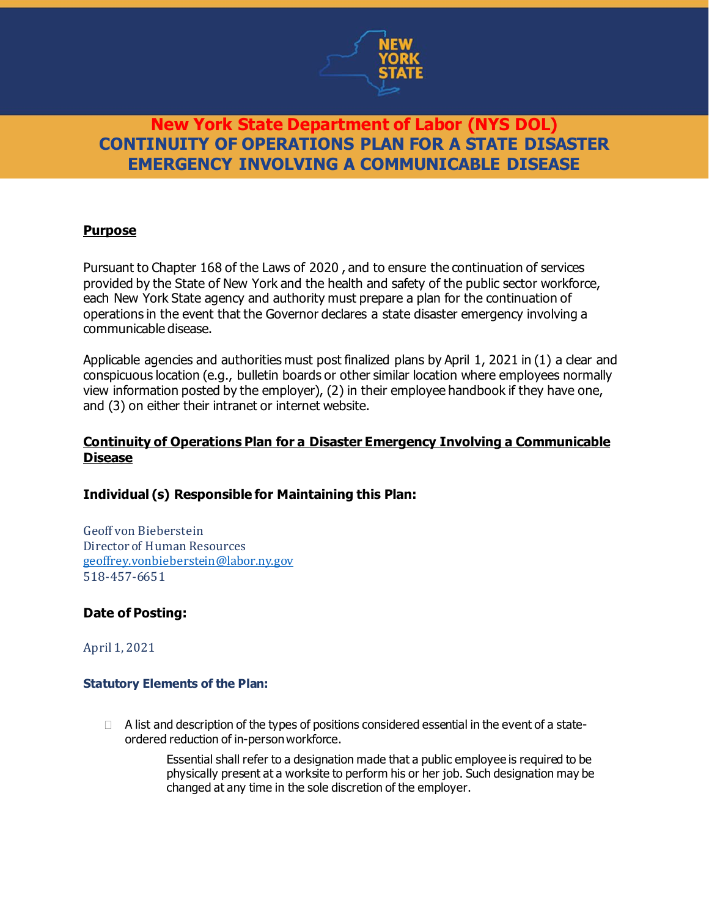

### **Purpose**

Pursuant to Chapter 168 of the Laws of 2020 , and to ensure the continuation of services provided by the State of New York and the health and safety of the public sector workforce, each New York State agency and authority must prepare a plan for the continuation of operations in the event that the Governor declares a state disaster emergency involving a communicable disease.

Applicable agencies and authorities must post finalized plans by April 1, 2021 in (1) a clear and conspicuous location (e.g., bulletin boards or other similar location where employees normally view information posted by the employer), (2) in their employee handbook if they have one, and (3) on either their intranet or internet website.

### **Continuity of Operations Plan for a Disaster Emergency Involving a Communicable Disease**

### **Individual (s) Responsible for Maintaining this Plan:**

Geoff von Bieberstein Director of Human Resources [geoffrey.vonbieberstein@labor.ny.gov](mailto:geoffrey.vonbieberstein@labor.ny.gov) 518-457-6651

### **Date of Posting:**

April 1, 2021

### **Statutory Elements of the Plan:**

 $\Box$  A list and description of the types of positions considered essential in the event of a stateordered reduction of in-person workforce.

> Essential shall refer to a designation made that a public employee is required to be physically present at a worksite to perform his or her job. Such designation may be changed at any time in the sole discretion of the employer.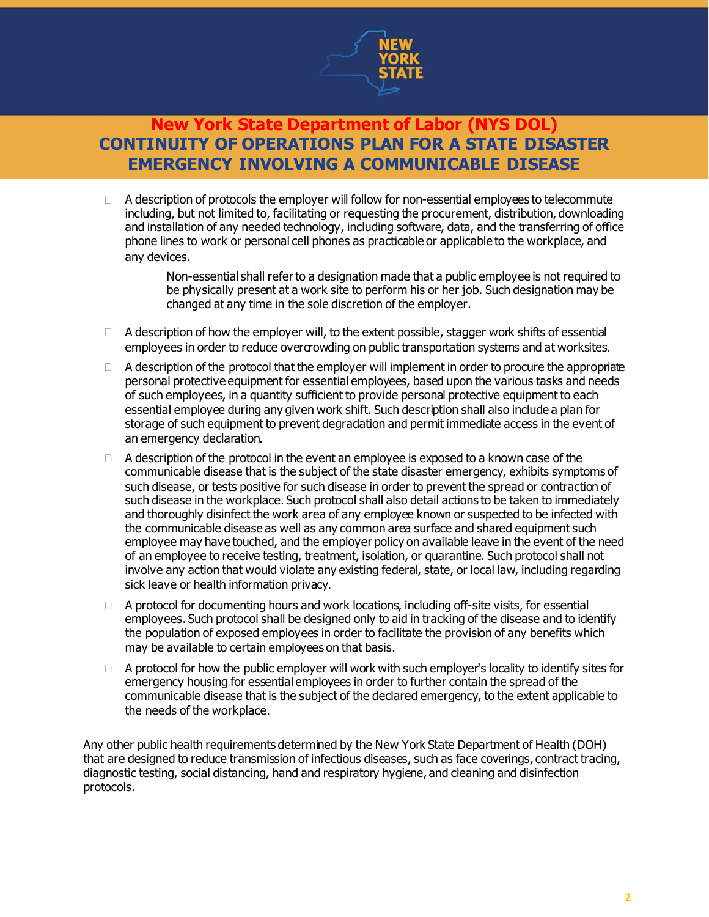

 $\Box$  A description of protocols the employer will follow for non-essential employees to telecommute including, but not limited to, facilitating or requesting the procurement, distribution, downloading and installation of any needed technology, including software, data, and the transferring of office phone lines to work or personal cell phones as practicable or applicable to the workplace, and any devices.

> Non-essential shall refer to a designation made that a public employee is not required to be physically present at a work site to perform his or her job. Such designation may be changed at any time in the sole discretion of the employer.

- $\Box$  A description of how the employer will, to the extent possible, stagger work shifts of essential employees in order to reduce overcrowding on public transportation systems and at worksites.
- $\Box$  A description of the protocol that the employer will implement in order to procure the appropriate personal protective equipment for essential employees, based upon the various tasks and needs of such employees, in a quantity sufficient to provide personal protective equipment to each essential employee during any given work shift. Such description shall also include a plan for storage of such equipment to prevent degradation and permit immediate access in the event of an emergency declaration.
- $\Box$  A description of the protocol in the event an employee is exposed to a known case of the communicable disease that is the subject of the state disaster emergency, exhibits symptoms of such disease, or tests positive for such disease in order to prevent the spread or contraction of such disease in the workplace. Such protocol shall also detail actions to be taken to immediately and thoroughly disinfect the work area of any employee known or suspected to be infected with the communicable disease as well as any common area surface and shared equipment such employee may have touched, and the employer policy on available leave in the event of the need of an employee to receive testing, treatment, isolation, or quarantine. Such protocol shall not involve any action that would violate any existing federal, state, or local law, including regarding sick leave or health information privacy.
- $\Box$  A protocol for documenting hours and work locations, including off-site visits, for essential employees. Such protocol shall be designed only to aid in tracking of the disease and to identify the population of exposed employees in order to facilitate the provision of any benefits which may be available to certain employees on that basis.
- $\Box$  A protocol for how the public employer will work with such employer's locality to identify sites for emergency housing for essential employees in order to further contain the spread of the communicable disease that is the subject of the declared emergency, to the extent applicable to the needs of the workplace.

Any other public health requirements determined by the New York State Department of Health (DOH) that are designed to reduce transmission of infectious diseases, such as face coverings, contract tracing, diagnostic testing, social distancing, hand and respiratory hygiene, and cleaning and disinfection protocols.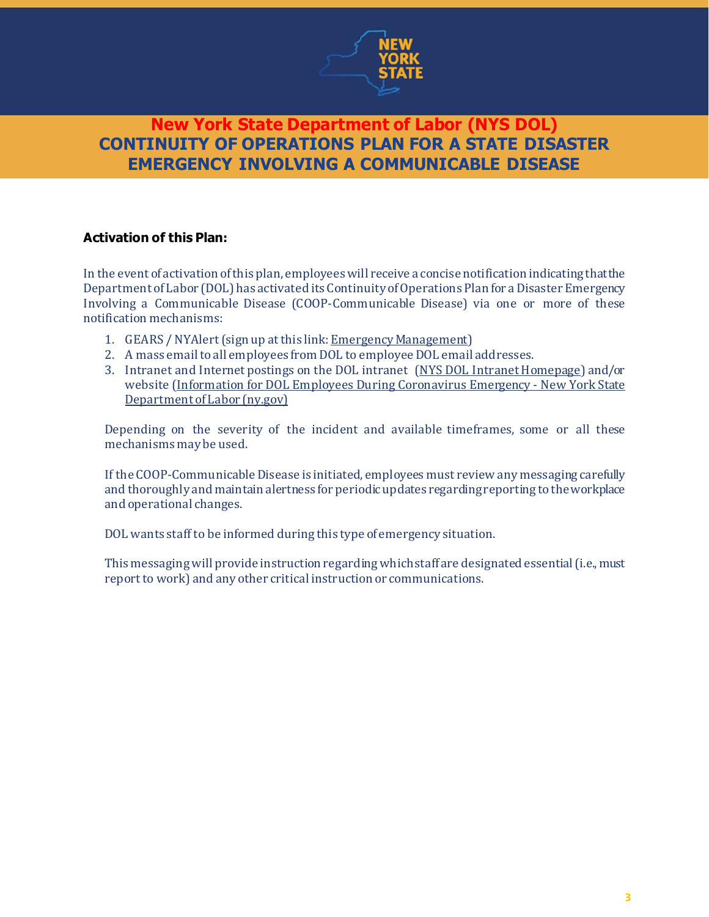

## **Activation of this Plan:**

In the event of activation ofthis plan, employeeswill receive a concise notification indicating thatthe Department of Labor (DOL) has activated its Continuity of Operations Plan for a Disaster Emergency Involving a Communicable Disease (COOP-Communicable Disease) via one or more of these notification mechanisms:

- 1. GEARS / NYAlert (sign up at this link: Emergency [Management](http://sdolintranet:81/emergency/))
- 2. A mass email to all employees from DOL to employee DOL email addresses.
- 3. Intranet and Internet postings on the DOL intranet (NYS DOL Intranet Homepage) and/or website [\(Information](https://www.labor.ny.gov/dol-employee-information.shtm) for DOL Employees During Coronavirus Emergency - New York State [Department](https://www.labor.ny.gov/dol-employee-information.shtm) ofLabor (ny.gov)

Depending on the severity of the incident and available timeframes, some or all these mechanisms may be used.

If the COOP-Communicable Disease is initiated, employees must review any messaging carefully and thoroughly and maintain alertness for periodicupdates regardingreporting totheworkplace and operational changes.

DOL wants staff to be informed during this type of emergency situation.

This messaging will provide instruction regarding which staff are designated essential (i.e., must report to work) and any other critical instruction or communications.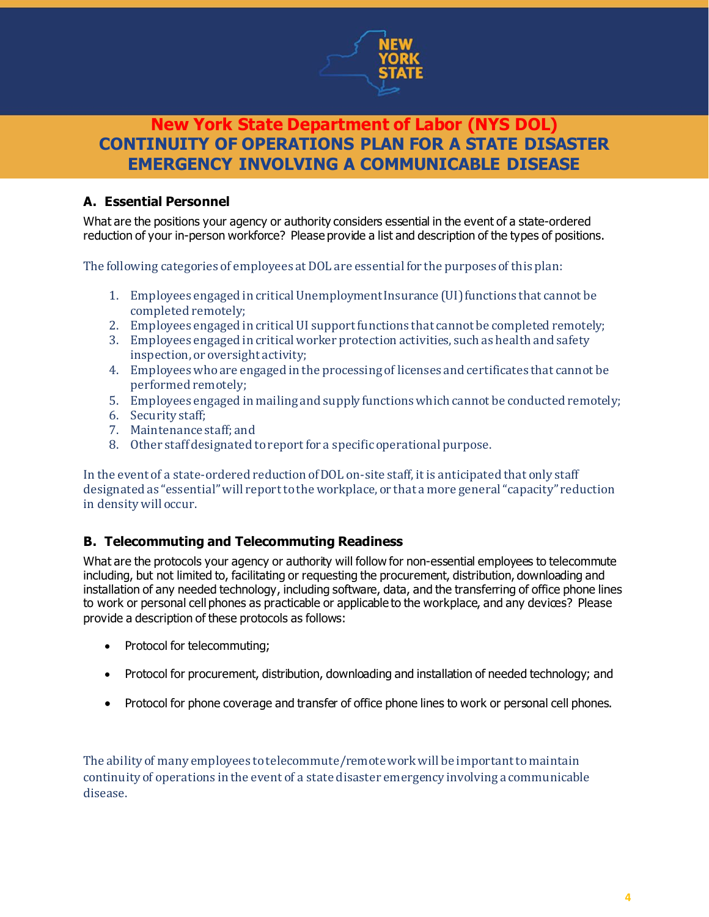

## **A. Essential Personnel**

What are the positions your agency or authority considers essential in the event of a state-ordered reduction of your in-person workforce? Please provide a list and description of the types of positions.

The following categories of employees at DOL are essential for the purposes of this plan:

- 1. Employees engaged in critical Unemployment Insurance (UI)functions that cannot be completed remotely;
- 2. Employees engaged in critical UI support functions that cannot be completed remotely;
- 3. Employees engaged in critical worker protection activities, such as health and safety inspection, or oversight activity;
- 4. Employees who are engaged in the processing of licenses and certificates that cannot be performed remotely;
- 5. Employees engaged in mailing and supply functionswhich cannot be conducted remotely;
- 6. Security staff;
- 7. Maintenance staff; and
- 8. Other staff designated to report for a specific operational purpose.

In the event of a state-ordered reduction of DOL on-site staff, it is anticipated that only staff designated as "essential"will report to the workplace, or that a more general "capacity" reduction in density will occur.

## **B. Telecommuting and Telecommuting Readiness**

What are the protocols your agency or authority will follow for non-essential employees to telecommute including, but not limited to, facilitating or requesting the procurement, distribution, downloading and installation of any needed technology, including software, data, and the transferring of office phone lines to work or personal cell phones as practicable or applicable to the workplace, and any devices? Please provide a description of these protocols as follows:

- Protocol for telecommuting;
- Protocol for procurement, distribution, downloading and installation of needed technology; and
- Protocol for phone coverage and transfer of office phone lines to work or personal cell phones.

The ability of many employees to telecommute/remote work will be important to maintain continuity of operations in the event of a state disaster emergency involving a communicable disease.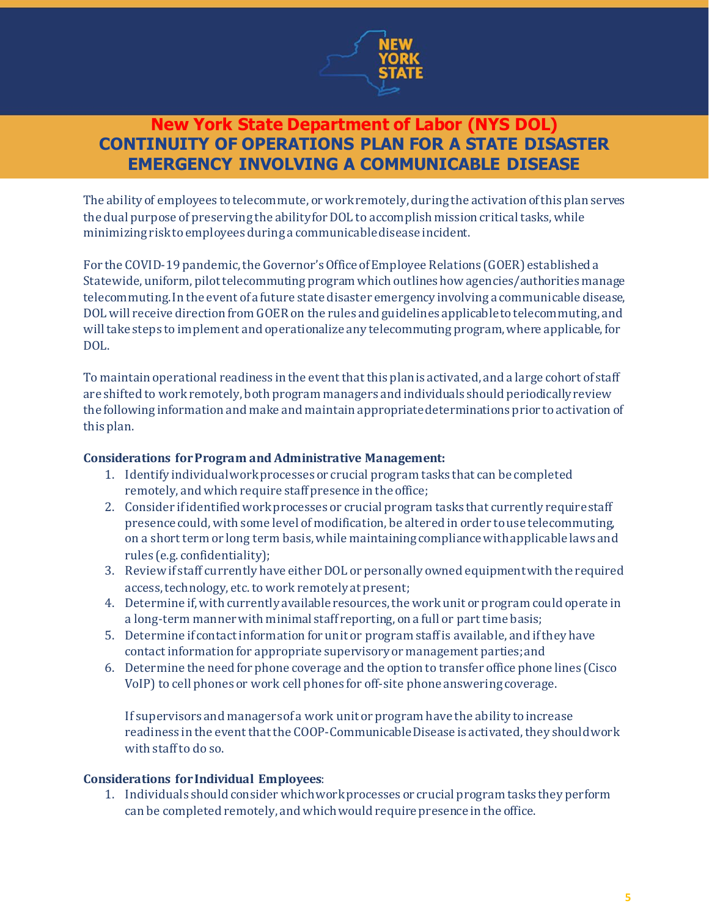

The ability of employees to telecommute, or work remotely, during the activation of this plan serves the dual purpose of preserving the ability for DOL to accomplish mission critical tasks, while minimizing risk to employees during a communicable disease incident.

For the COVID-19 pandemic, the Governor's Office of Employee Relations (GOER) established a Statewide, uniform, pilot telecommuting program which outlines how agencies/authorities manage telecommuting. In the event of a future state disaster emergency involving a communicable disease, DOL will receive direction from GOER on the rules and guidelines applicable to telecommuting, and will take steps to implement and operationalize any telecommuting program, where applicable, for DOL.

To maintain operational readiness in the event that this plan is activated, and a large cohort of staff are shifted to work remotely, both program managers and individuals should periodically review the following information and make and maintain appropriate determinations prior to activation of this plan.

### **Considerations for Program and Administrative Management:**

- 1. Identify individual work processes or crucial program tasks that can be completed remotely, and which require staff presence in the office;
- 2. Consider ifidentified work processes or crucial program tasks that currently require staff presence could, with some level of modification, be altered in order to use telecommuting, on a short term or long term basis, while maintaining compliance with applicable laws and rules (e.g. confidentiality);
- 3. Review if staff currently have either DOL or personally owned equipment with the required access, technology, etc. to work remotely at present;
- 4. Determine if, with currently available resources, the work unit or program could operate in a long-term manner with minimal staff reporting, on a full or part time basis;
- 5. Determine if contact information for unit or program staffis available, and ifthey have contact information for appropriate supervisory or management parties;and
- 6. Determine the need for phone coverage and the option to transfer office phone lines (Cisco VoIP) to cell phones or work cell phones for off-site phone answering coverage.

If supervisors and managers of a work unit or program have the ability to increase readiness in the event that the COOP-Communicable Disease is activated, they shouldwork with staff to do so.

### **Considerations for Individual Employees**:

1. Individuals should consider whichwork processes or crucial program tasks they perform can be completed remotely, and which would require presence in the office.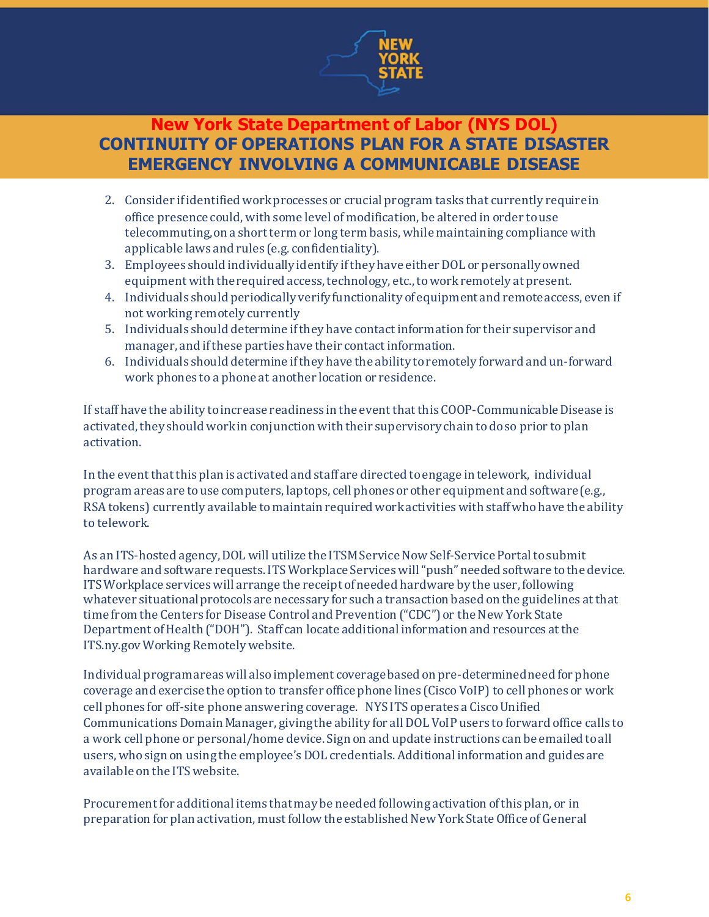

- 2. Consider if identified work processes or crucial program tasks that currently require in office presence could, with some level of modification, be altered in order to use telecommuting, on a short term or long term basis, while maintaining compliance with applicable laws and rules (e.g. confidentiality).
- 3. Employees should individually identify if they have either DOL or personally owned equipment with the required access, technology, etc.,to work remotely at present.
- 4. Individuals should periodically verify functionality of equipment and remote access, even if not working remotely currently
- 5. Individuals should determine ifthey have contact information for their supervisor and manager, and if these parties have their contact information.
- 6. Individuals should determine if they have the ability to remotely forward and un-forward work phones to a phone at another location or residence.

If staffhave the ability to increase readiness in the event that this COOP-Communicable Disease is activated, they should work in conjunction with their supervisory chain to do so prior to plan activation.

In the event that this plan is activated and staff are directed to engage in telework, individual program areas are to use computers, laptops, cell phones or other equipment and software (e.g., RSA tokens) currently available to maintain required work activities with staff who have the ability to telework.

As an ITS-hosted agency, DOL will utilize the ITSM Service Now Self-Service Portal to submit hardware and software requests. ITS Workplace Services will "push" needed software to the device. ITS Workplace services will arrange the receipt of needed hardware by the user, following whatever situational protocols are necessary for such a transaction based on the guidelines at that time from the Centers for Disease Control and Prevention ("CDC") or the New York State Department of Health ("DOH"). Staff can locate additional information and resources at the ITS.ny.gov Working Remotely website.

Individual program areaswill also implement coverage based on pre-determined need for phone coverage and exercise the option to transfer office phone lines (Cisco VoIP) to cell phones or work cell phones for off-site phone answering coverage. NYS ITS operates a Cisco Unified Communications Domain Manager, giving the ability for all DOL VoIP users to forward office calls to a work cell phone or personal/home device. Sign on and update instructions can be emailed to all users, who sign on using the employee's DOL credentials. Additional information and guides are available on the ITS website.

Procurement for additional items that may be needed following activation of this plan, or in preparation for plan activation, must follow the established New York State Office of General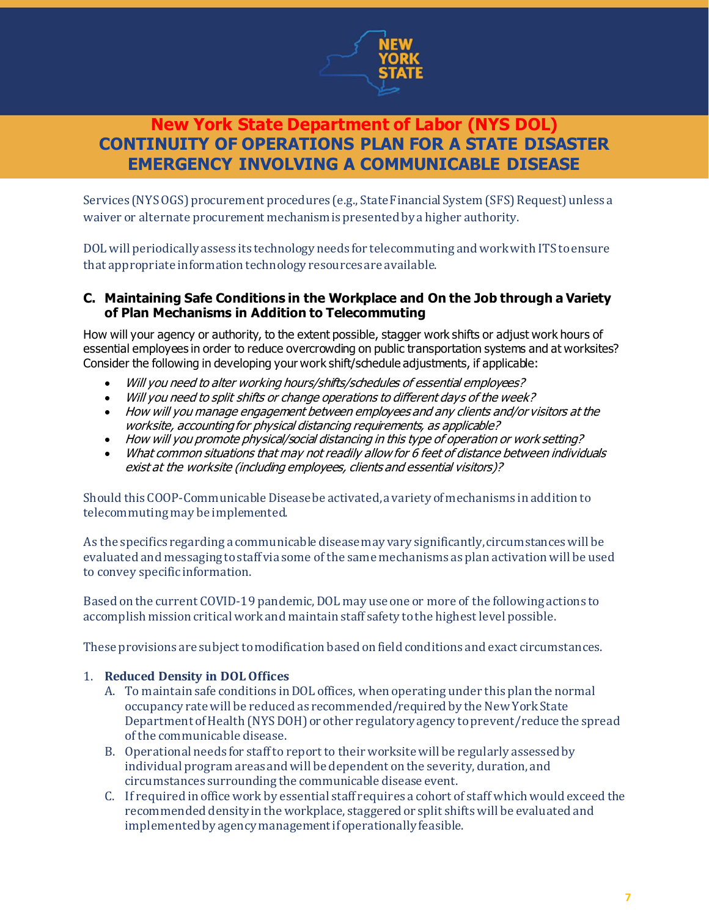

Services (NYS OGS) procurement procedures (e.g., State Financial System (SFS) Request) unless a waiver or alternate procurement mechanism is presented by a higher authority.

DOL will periodically assess its technology needs for telecommuting and work with ITS to ensure that appropriate information technology resources are available.

### **C. Maintaining Safe Conditions in the Workplace and On the Job through a Variety of Plan Mechanisms in Addition to Telecommuting**

How will your agency or authority, to the extent possible, stagger work shifts or adjust work hours of essential employees in order to reduce overcrowding on public transportation systems and at worksites? Consider the following in developing your work shift/schedule adjustments, if applicable:

- Will you need to alter working hours/shifts/schedules of essential employees?
- Will you need to split shifts or change operations to different days of the week?
- How will you manage engagement between employees and any clients and/or visitors at the worksite, accounting for physical distancing requirements, as applicable?
- How will you promote physical/social distancing in this type of operation or work setting?
- What common situations that may not readily allow for 6 feet of distance between individuals exist at the worksite (including employees, clients and essential visitors)?

Should this COOP-Communicable Disease be activated, a variety of mechanisms in addition to telecommuting may be implemented.

As the specifics regarding a communicable disease may vary significantly, circumstances will be evaluated and messaging to staff via some of the same mechanisms as plan activation will be used to convey specific information.

Based on the current COVID-19 pandemic, DOL may use one or more of the following actions to accomplish mission critical work and maintain staff safety to the highest level possible.

These provisions are subject to modification based on field conditions and exact circumstances.

### 1. **Reduced Density in DOL Offices**

- A. To maintain safe conditions inDOL offices, when operating under this plan the normal occupancy rate will be reduced as recommended/required by the New York State Department of Health (NYS DOH) or other regulatory agency to prevent/reduce the spread of the communicable disease.
- B. Operational needs for staff to reportto their worksite will be regularly assessed by individual program areas and will be dependent on the severity, duration, and circumstances surrounding the communicable disease event.
- C. If required in office work by essential staff requires a cohort of staff which would exceed the recommended density in the workplace, staggered or split shifts will be evaluated and implemented by agency management if operationally feasible.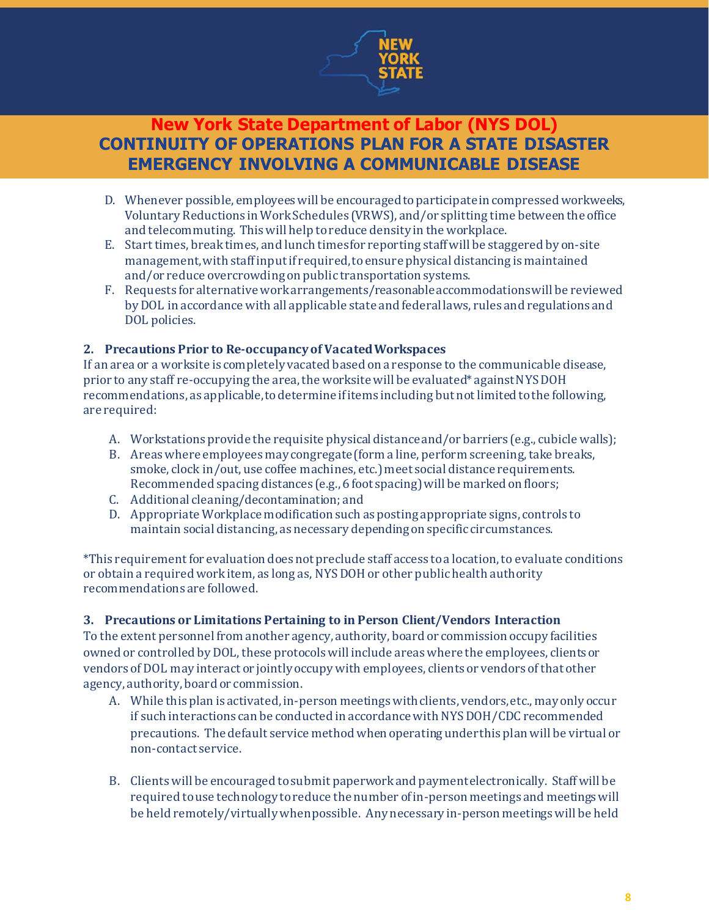

- D. Whenever possible, employees will be encouraged to participate in compressed workweeks, Voluntary Reductions in Work Schedules (VRWS), and/or splitting time between the office and telecommuting. This will help to reduce density in the workplace.
- E. Start times, break times, and lunch timesfor reporting staffwill be staggered by on-site management,with staff inputif required,to ensure physical distancing is maintained and/or reduce overcrowding on public transportation systems.
- F. Requests for alternative work arrangements/reasonable accommodations will be reviewed by DOL in accordance with all applicable state and federal laws, rules and regulations and DOL policies.

### **2. Precautions Prior to Re-occupancy of Vacated Workspaces**

If an area or a worksite is completely vacated based on a response to the communicable disease, prior to any staff re-occupying the area, the worksite will be evaluated\* against NYS DOH recommendations, as applicable,to determine ifitems including but not limited to the following, are required:

- A. Workstations provide the requisite physical distance and/or barriers (e.g., cubicle walls);
- B. Areas where employees may congregate(form a line, perform screening, take breaks, smoke, clock in/out, use coffee machines, etc.) meet social distance requirements. Recommended spacing distances (e.g., 6 foot spacing) will be marked on floors;
- C. Additional cleaning/decontamination; and
- D. Appropriate Workplace modification such as posting appropriate signs, controls to maintain social distancing, as necessary depending on specific circumstances.

\*This requirement for evaluation does not preclude staff access to a location, to evaluate conditions or obtain a required work item, as long as, NYS DOH or other public health authority recommendations are followed.

### **3. Precautions or Limitations Pertaining to in Person Client/Vendors Interaction**

To the extent personnel from another agency, authority, board or commission occupy facilities owned or controlled by DOL, these protocols will include areas where the employees, clients or vendors of DOL may interact or jointly occupy with employees, clients or vendors of that other agency, authority, board or commission.

- A. While this plan is activated, in-person meetings with clients, vendors, etc., may only occur if such interactions can be conducted in accordance with NYS DOH/CDC recommended precautions. The default service method when operating under this plan will be virtual or non-contact service.
- B. Clients will be encouraged to submit paperwork and payment electronically. Staff will be required to use technology to reduce the number of in-person meetings and meetings will be held remotely/virtually when possible. Any necessary in-person meetings will be held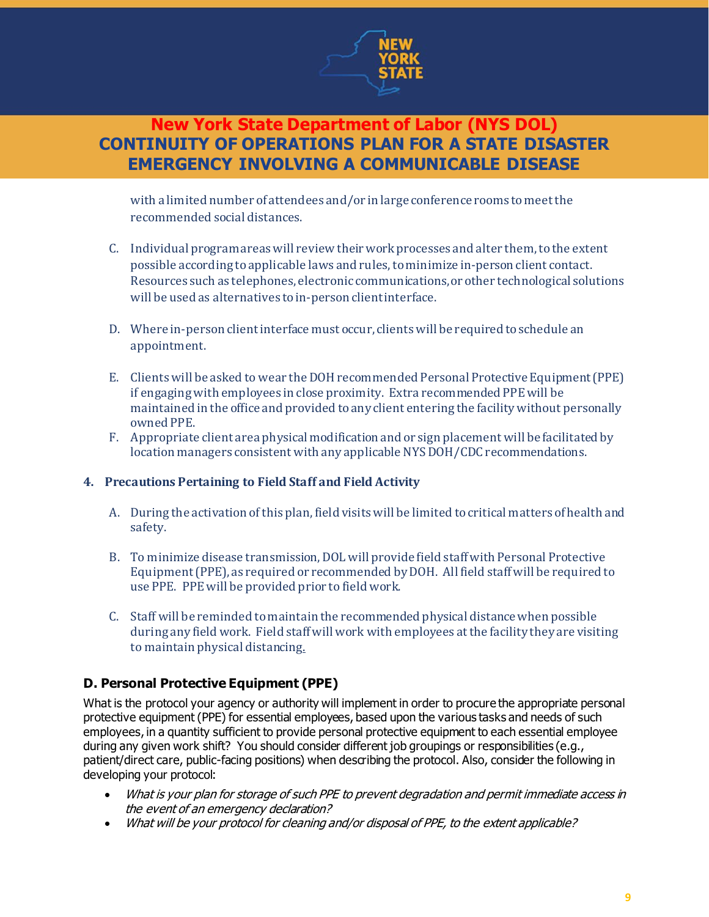

with a limited number of attendees and/or in large conference rooms to meet the recommended social distances.

- C. Individual program areas will review their work processes and alter them, to the extent possible according toapplicable laws and rules, to minimize in-person client contact. Resources such as telephones, electronic communications, or other technological solutions will be used as alternatives to in-person client interface.
- D. Where in-person client interface must occur, clients will be required to schedule an appointment.
- E. Clients will be asked to wear theDOHrecommended Personal Protective Equipment(PPE) if engaging with employees in close proximity. Extra recommended PPEwill be maintained in the office and provided to any client entering the facility without personally owned PPE.
- F. Appropriate client area physical modification and or sign placement will be facilitated by location managers consistent with any applicable NYS DOH/CDC recommendations.

### **4. Precautions Pertaining to Field Staff and Field Activity**

- A. During the activation of this plan, field visits will be limited to critical matters of health and safety.
- B. To minimize disease transmission, DOL will provide field staff with Personal Protective Equipment(PPE), as required or recommended by DOH. All field staff will be required to use PPE. PPE will be provided prior to field work.
- C. Staff will be reminded to maintain the recommended physical distancewhen possible during any field work. Field staff will work with employees at the facility they are visiting to maintain physical distancing.

### **D. Personal Protective Equipment (PPE)**

What is the protocol your agency or authority will implement in order to procure the appropriate personal protective equipment (PPE) for essential employees, based upon the various tasks and needs of such employees, in a quantity sufficient to provide personal protective equipment to each essential employee during any given work shift? You should consider different job groupings or responsibilities (e.g., patient/direct care, public-facing positions) when describing the protocol. Also, consider the following in developing your protocol:

- What is your plan for storage of such PPE to prevent degradation and permit immediate access in the event of an emergency declaration?
- What will be your protocol for cleaning and/or disposal of PPE, to the extent applicable?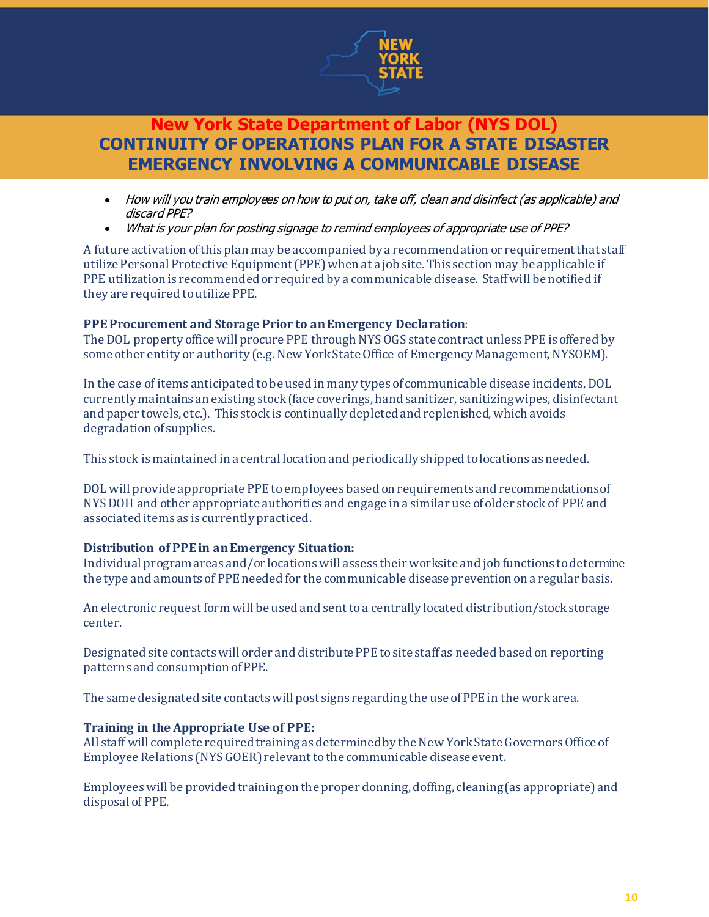

- How will you train employees on how to put on, take off, clean and disinfect (as applicable) and discard PPE?
- What is your plan for posting signage to remind employees of appropriate use of PPE?

A future activation of this plan may be accompanied by a recommendation or requirement that staff utilize Personal Protective Equipment (PPE) when at a job site. This section may be applicable if PPE utilization is recommended or required by a communicable disease. Staff will be notified if they are required to utilize PPE.

### **PPE Procurement and Storage Prior to an Emergency Declaration**:

The DOL property office will procure PPE through NYS OGS state contract unless PPE is offered by some other entity or authority (e.g. New York State Office of Emergency Management, NYSOEM).

In the case of items anticipated to be used in many types of communicable disease incidents, DOL currently maintains an existing stock (face coverings, hand sanitizer, sanitizing wipes, disinfectant and paper towels, etc.). This stock is continually depleted and replenished, which avoids degradation of supplies.

This stock is maintained in a central location and periodically shipped to locations as needed.

DOL will provide appropriate PPE to employees based on requirements and recommendations of NYS DOH and other appropriate authorities and engage in a similar use of older stock of PPE and associated items as is currently practiced.

### **Distribution of PPE in an Emergency Situation:**

Individual program areas and/or locations will assess theirworksite and job functions todetermine the type and amounts of PPE needed for the communicable disease prevention on a regular basis.

An electronic request form will be used and sent to a centrally located distribution/stock storage center.

Designated site contacts will order and distribute PPE to site staff as needed based on reporting patterns and consumption of PPE.

The same designated site contacts will post signs regarding the use of PPE in the work area.

### **Training in the Appropriate Use of PPE:**

All staff will complete required training as determined by the New York State Governors Office of Employee Relations (NYS GOER) relevant to the communicable disease event.

Employees will be provided training on the proper donning, doffing, cleaning (as appropriate) and disposal of PPE.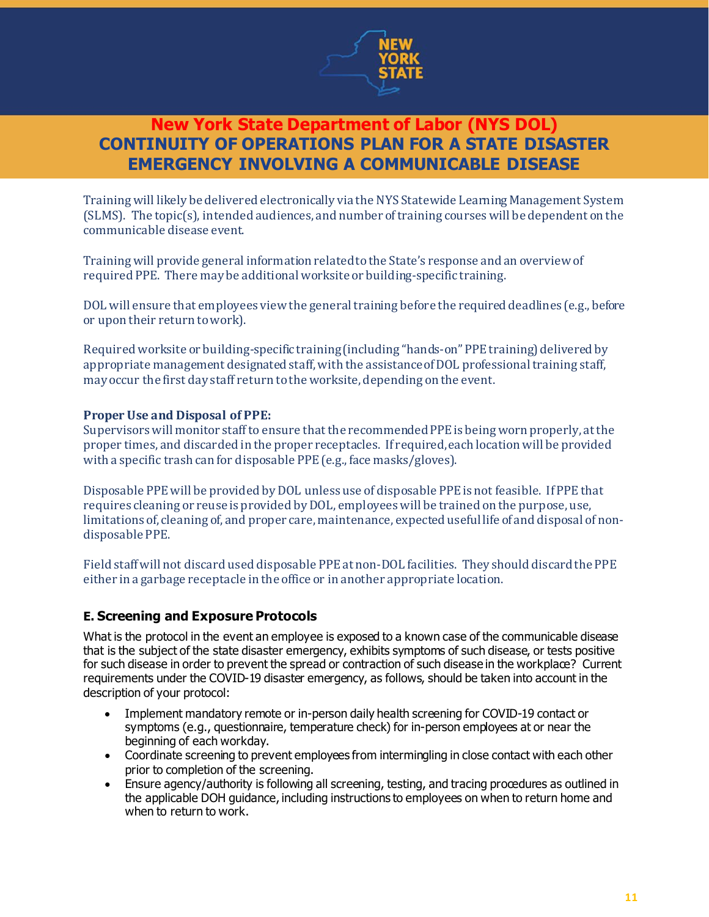

Training will likely be delivered electronically via the NYS Statewide Learning Management System (SLMS). The topic(s), intended audiences, and number of training courses will be dependent on the communicable disease event.

Training will provide general information related to the State's response and an overview of required PPE. There may be additional worksite or building-specific training.

DOL will ensure that employees view the general training before the required deadlines (e.g., before or upon their return to work).

Required worksite or building-specific training (including "hands-on" PPE training) delivered by appropriate management designated staff, with the assistance of DOL professional training staff, may occur the first day staff return to the worksite, depending on the event.

### **Proper Use and Disposal of PPE:**

Supervisors will monitor staff to ensure that the recommended PPE is being worn properly, at the proper times, and discarded in the proper receptacles. If required, each location will be provided with a specific trash can for disposable PPE(e.g., face masks/gloves).

Disposable PPE will be provided by DOL unless use of disposable PPE is not feasible. If PPE that requires cleaning or reuse is provided by DOL, employees will be trained on the purpose, use, limitations of, cleaning of, and proper care, maintenance, expected useful life of and disposal of nondisposable PPE.

Field staff will not discard used disposable PPEat non-DOL facilities. They should discard the PPE either in a garbage receptacle in the office or in another appropriate location.

### **E. Screening and Exposure Protocols**

What is the protocol in the event an employee is exposed to a known case of the communicable disease that is the subject of the state disaster emergency, exhibits symptoms of such disease, or tests positive for such disease in order to prevent the spread or contraction of such disease in the workplace? Current requirements under the COVID-19 disaster emergency, as follows, should be taken into account in the description of your protocol:

- Implement mandatory remote or in-person daily health screening for COVID-19 contact or symptoms (e.g., questionnaire, temperature check) for in-person employees at or near the beginning of each workday.
- Coordinate screening to prevent employees from intermingling in close contact with each other prior to completion of the screening.
- Ensure agency/authority is following all screening, testing, and tracing procedures as outlined in the applicable DOH guidance, including instructions to employees on when to return home and when to return to work.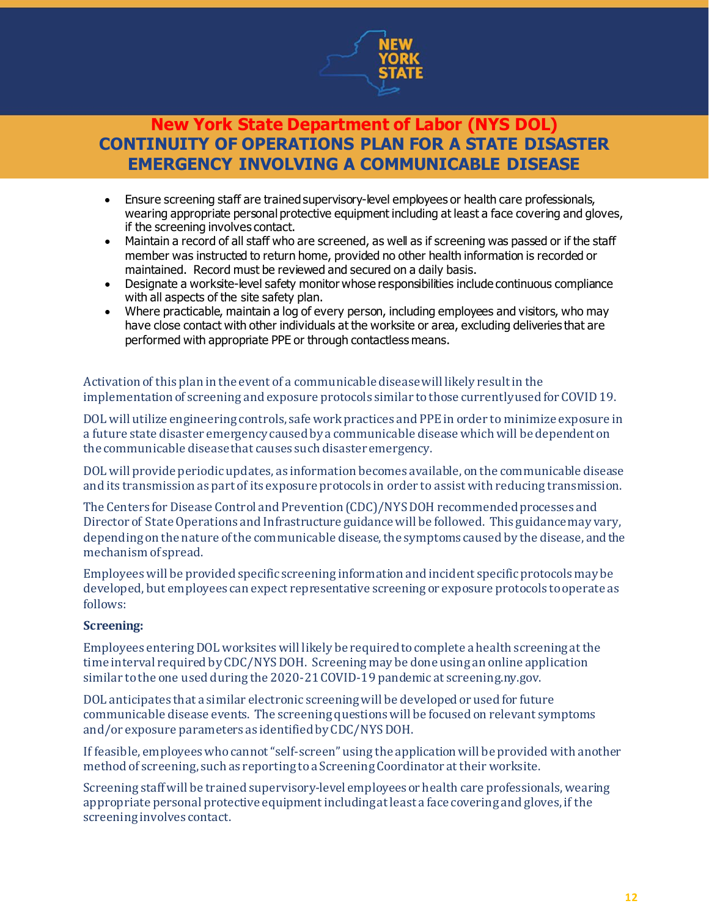

- Ensure screening staff are trained supervisory-level employees or health care professionals, wearing appropriate personal protective equipment including at least a face covering and gloves, if the screening involves contact.
- Maintain a record of all staff who are screened, as well as if screening was passed or if the staff member was instructed to return home, provided no other health information is recorded or maintained. Record must be reviewed and secured on a daily basis.
- Designate a worksite-level safety monitor whose responsibilities include continuous compliance with all aspects of the site safety plan.
- Where practicable, maintain a log of every person, including employees and visitors, who may have close contact with other individuals at the worksite or area, excluding deliveries that are performed with appropriate PPE or through contactless means.

Activation of this plan in the event of a communicable disease will likely result in the implementation of screening and exposure protocols similar to those currently used for COVID 19.

DOL will utilize engineering controls, safe work practices and PPE in order to minimize exposure in a future state disaster emergency caused by a communicable disease which will be dependent on the communicable disease that causes such disaster emergency.

DOL will provide periodic updates, as information becomes available, on the communicable disease and its transmission as part of its exposure protocols in order to assist with reducing transmission.

The Centers for Disease Control and Prevention (CDC)/NYSDOH recommended processes and Director of State Operations and Infrastructure guidance will be followed. This guidance may vary, depending on the nature of the communicable disease, the symptoms caused by the disease, and the mechanism of spread.

Employees will be provided specific screening information and incident specific protocols may be developed, but employees can expect representative screening or exposure protocols to operate as follows:

### **Screening:**

Employees entering DOL worksites will likely be required to complete a health screening at the time interval required by CDC/NYS DOH. Screening may be done using an online application similar to the one used during the 2020-21 COVID-19 pandemic at screening.ny.gov.

DOL anticipates that a similar electronic screening will be developed or used for future communicable disease events. The screening questions will be focused on relevant symptoms and/or exposure parameters as identified by CDC/NYS DOH.

If feasible, employees who cannot "self-screen" using the application will be provided with another method of screening, such as reporting to a Screening Coordinator at their worksite.

Screening staff will be trained supervisory-level employees or health care professionals, wearing appropriate personal protective equipment including at least a face covering and gloves, if the screening involves contact.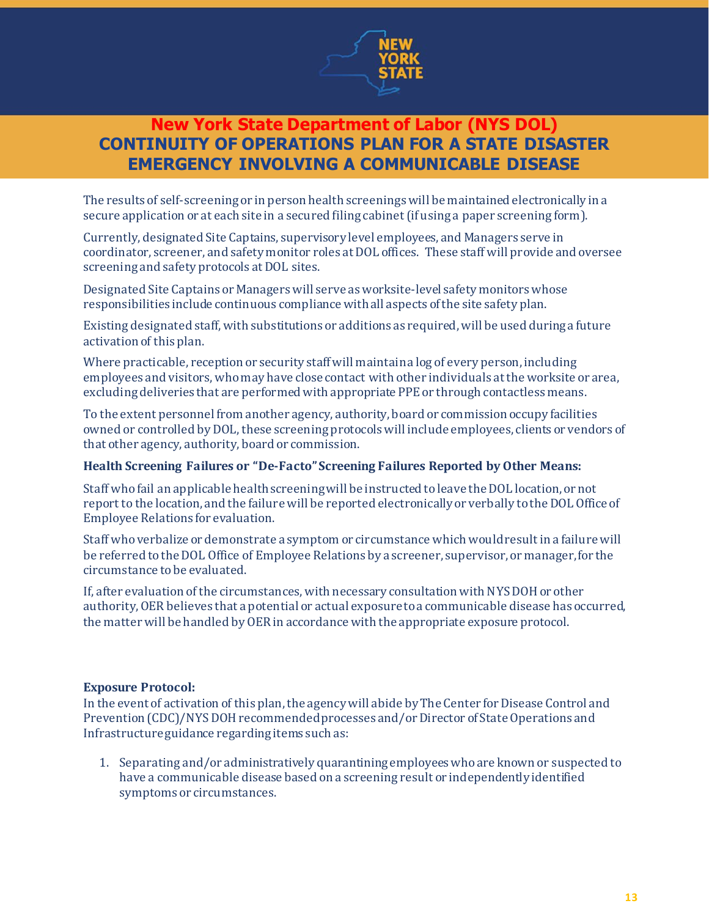

The results of self-screening or in person health screenings will be maintained electronically in a secure application or at each site in a secured filing cabinet (if using a paper screening form).

Currently, designated Site Captains, supervisory level employees, and Managers serve in coordinator, screener, and safety monitor roles at DOL offices. These staff will provide and oversee screening and safety protocols at DOL sites.

Designated Site Captains or Managers will serve as worksite-level safety monitors whose responsibilities include continuous compliance with all aspects of the site safety plan.

Existing designated staff, with substitutions or additions as required, will be used during a future activation of this plan.

Where practicable, reception or security staff will maintain a log of every person, including employees and visitors, who may have close contact with other individuals at the worksite or area, excluding deliveries that are performed with appropriate PPE or through contactless means.

To the extent personnel from another agency, authority, board or commission occupy facilities owned or controlled by DOL, these screening protocols will include employees, clients or vendors of that other agency, authority, board or commission.

#### **Health Screening Failures or "De-Facto" Screening Failures Reported by Other Means:**

Staff who fail an applicable health screening will be instructed to leave the DOL location, or not report to the location, and the failure will be reported electronically or verbally to the DOL Office of Employee Relations for evaluation.

Staff who verbalize or demonstrate a symptom or circumstance which would result in a failure will be referred to the DOL Office of Employee Relations by a screener, supervisor, or manager,for the circumstance to be evaluated.

If, after evaluation of the circumstances, with necessary consultation with NYS DOH or other authority, OER believes that a potential or actual exposure to a communicable disease has occurred, the matter will be handled by OER in accordance with the appropriate exposure protocol.

#### **Exposure Protocol:**

In the event of activation of this plan, the agency will abide by The Center for Disease Control and Prevention (CDC)/NYS DOH recommended processes and/or Director of State Operations and Infrastructure guidance regarding items such as:

1. Separating and/or administratively quarantining employees who are known or suspected to have a communicable disease based on a screening result or independently identified symptoms or circumstances.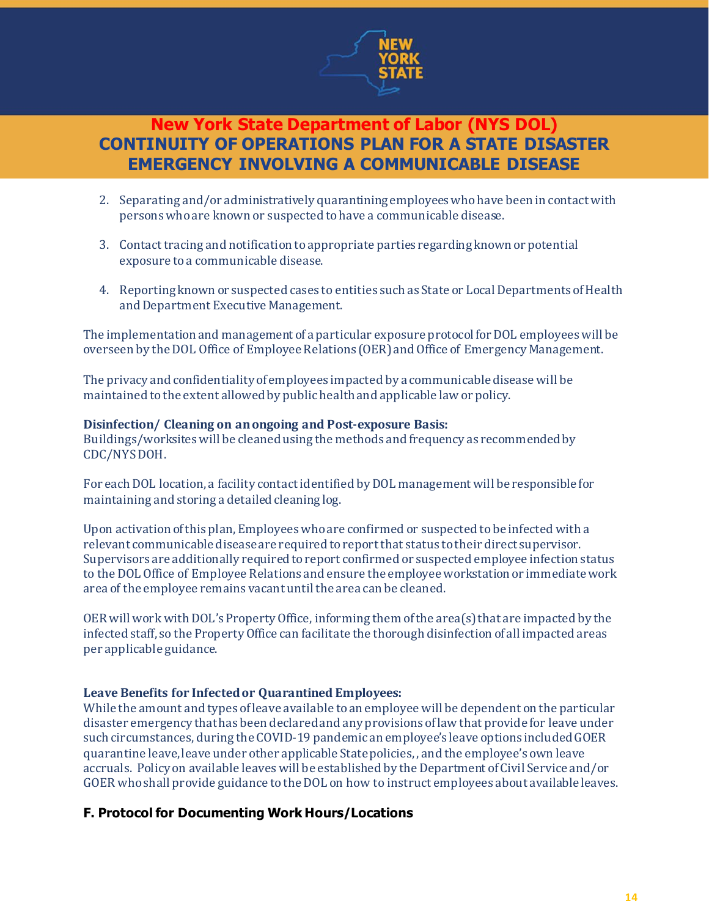

- 2. Separating and/or administratively quarantining employees who have been in contact with persons who are known or suspected to have a communicable disease.
- 3. Contact tracing and notification to appropriate parties regarding known or potential exposure to a communicable disease.
- 4. Reporting known or suspected cases to entities such as State or Local Departments of Health and Department Executive Management.

The implementation and management of a particular exposure protocol for DOL employees will be overseen by the DOL Office of Employee Relations (OER)and Office of Emergency Management.

The privacy and confidentiality of employees impacted by a communicable disease will be maintained to the extent allowed by public health and applicable law or policy.

#### **Disinfection/ Cleaning on anongoing and Post-exposure Basis:**

Buildings/worksites will be cleaned using the methods and frequency as recommendedby CDC/NYS DOH.

For each DOL location, a facility contact identified by DOL management will be responsible for maintaining and storing a detailed cleaning log.

Upon activation of this plan, Employees who are confirmed or suspected to be infected with a relevant communicable diseaseare required to report that status to their direct supervisor. Supervisors are additionally required to report confirmed or suspected employee infection status to the DOL Office of Employee Relations and ensure the employee workstation or immediate work area of the employee remains vacant until the area can be cleaned.

OER will work with DOL's Property Office, informing them of the area(s) that are impacted by the infected staff, so the Property Office can facilitate the thorough disinfection of all impacted areas per applicable guidance.

### **Leave Benefits for Infected or Quarantined Employees:**

While the amount and types of leave available to an employee will be dependent on the particular disaster emergency that has been declared and any provisions of law that provide for leave under such circumstances, during the COVID-19 pandemic an employee's leave options included GOER quarantine leave, leave under other applicable State policies, , and the employee's own leave accruals. Policy on available leaves will be established by the Department of Civil Service and/or GOER who shall provide guidance to the DOL on how to instruct employees about available leaves.

### **F. Protocol for Documenting Work Hours/Locations**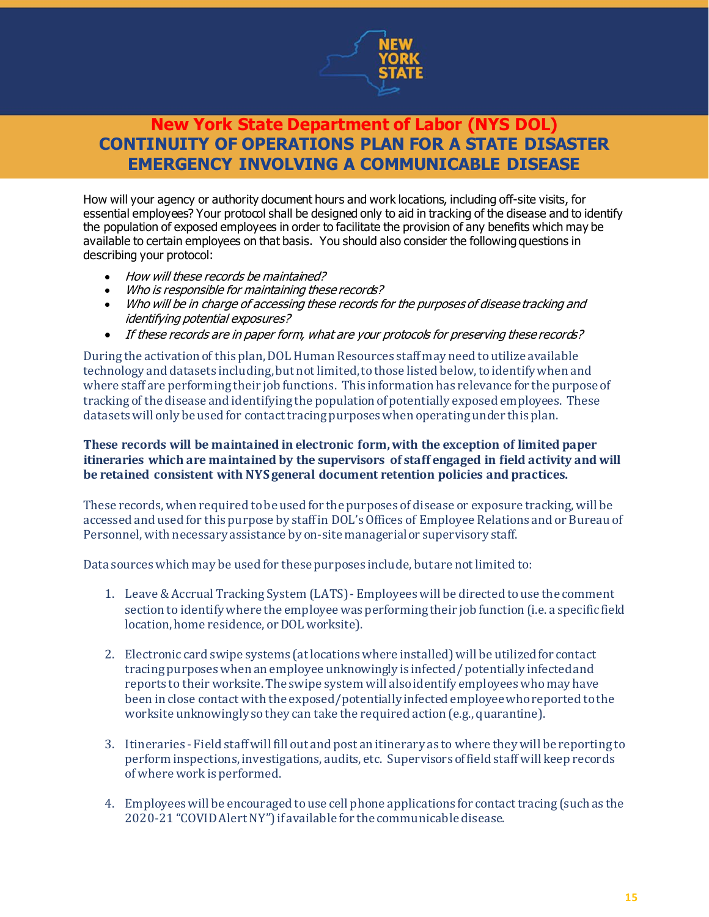

How will your agency or authority document hours and work locations, including off-site visits, for essential employees? Your protocol shall be designed only to aid in tracking of the disease and to identify the population of exposed employees in order to facilitate the provision of any benefits which may be available to certain employees on that basis. You should also consider the following questions in describing your protocol:

- How will these records be maintained?
- Who is responsible for maintaining these records?
- Who will be in charge of accessing these records for the purposes of disease tracking and identifying potential exposures?
- If these records are in paper form, what are your protocols for preserving these records?

During the activation of this plan, DOL Human Resources staffmay need to utilize available technology and datasets including,but notlimited,tothose listed below,toidentifywhen and where staff are performing their job functions. This information has relevance for the purpose of tracking of the disease and identifying the population ofpotentially exposed employees. These datasets will only be used for contact tracing purposes when operating under this plan.

#### **These records will be maintained in electronic form,with the exception of limited paper itineraries which are maintained by the supervisors of staff engaged in field activity and will be retained consistent with NYS general document retention policies and practices.**

These records,when required tobe used for the purposes of disease or exposure tracking,will be accessed and used for this purpose by staffin DOL'sOffices of Employee Relations and or Bureau of Personnel, with necessary assistance by on-site managerial or supervisory staff.

Data sourceswhich may be used for these purposes include, butare notlimited to:

- 1. Leave&Accrual Tracking System (LATS)- Employeeswill be directed touse the comment section to identifywhere the employeewas performingtheir job function (i.e. a specific field location, home residence, or DOL worksite).
- 2. Electronic card swipe systems (atlocationswhere installed)will be utilizedfor contact tracing purposeswhen an employee unknowingly is infected/ potentially infectedand reports to their worksite. The swipe system will alsoidentify employeeswhomay have been in close contact with the exposed/potentially infected employeewhoreported tothe worksite unknowingly sothey can take the required action (e.g., quarantine).
- 3. Itineraries Field staffwill fill out and post an itinerary as to where theywill be reporting to perform inspections, investigations, audits, etc. Supervisors offield staff will keep records of where work is performed.
- 4. Employees will be encouraged to use cell phone applications for contact tracing (such as the 2020-21 "COVIDAlertNY")if available for the communicable disease.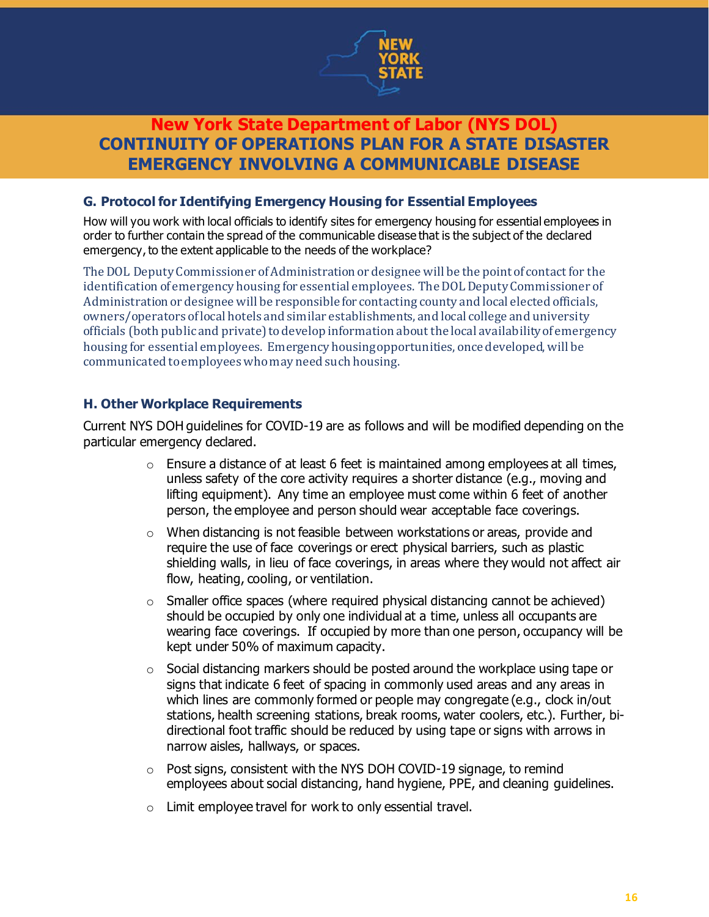

### **G. Protocol for Identifying Emergency Housing for Essential Employees**

How will you work with local officials to identify sites for emergency housing for essential employees in order to further contain the spread of the communicable disease that is the subject of the declared emergency, to the extent applicable to the needs of the workplace?

The DOL Deputy Commissioner of Administration or designee will be the point of contact for the identification of emergency housing for essential employees. The DOL Deputy Commissioner of Administration or designee will be responsible for contacting county and local elected officials, owners/operators of local hotels and similar establishments, and local college and university officials (both public and private) to develop information about the local availability of emergency housing for essential employees. Emergency housing opportunities, once developed, will be communicated to employees who may need such housing.

### **H. Other Workplace Requirements**

Current NYS DOH guidelines for COVID-19 are as follows and will be modified depending on the particular emergency declared.

- $\circ$  Ensure a distance of at least 6 feet is maintained among employees at all times, unless safety of the core activity requires a shorter distance (e.g., moving and lifting equipment). Any time an employee must come within 6 feet of another person, the employee and person should wear acceptable face coverings.
- $\circ$  When distancing is not feasible between workstations or areas, provide and require the use of face coverings or erect physical barriers, such as plastic shielding walls, in lieu of face coverings, in areas where they would not affect air flow, heating, cooling, or ventilation.
- o Smaller office spaces (where required physical distancing cannot be achieved) should be occupied by only one individual at a time, unless all occupants are wearing face coverings. If occupied by more than one person, occupancy will be kept under 50% of maximum capacity.
- o Social distancing markers should be posted around the workplace using tape or signs that indicate 6 feet of spacing in commonly used areas and any areas in which lines are commonly formed or people may congregate (e.g., clock in/out stations, health screening stations, break rooms, water coolers, etc.). Further, bidirectional foot traffic should be reduced by using tape or signs with arrows in narrow aisles, hallways, or spaces.
- o Post signs, consistent with the NYS DOH COVID-19 signage, to remind employees about social distancing, hand hygiene, PPE, and cleaning guidelines.
- o Limit employee travel for work to only essential travel.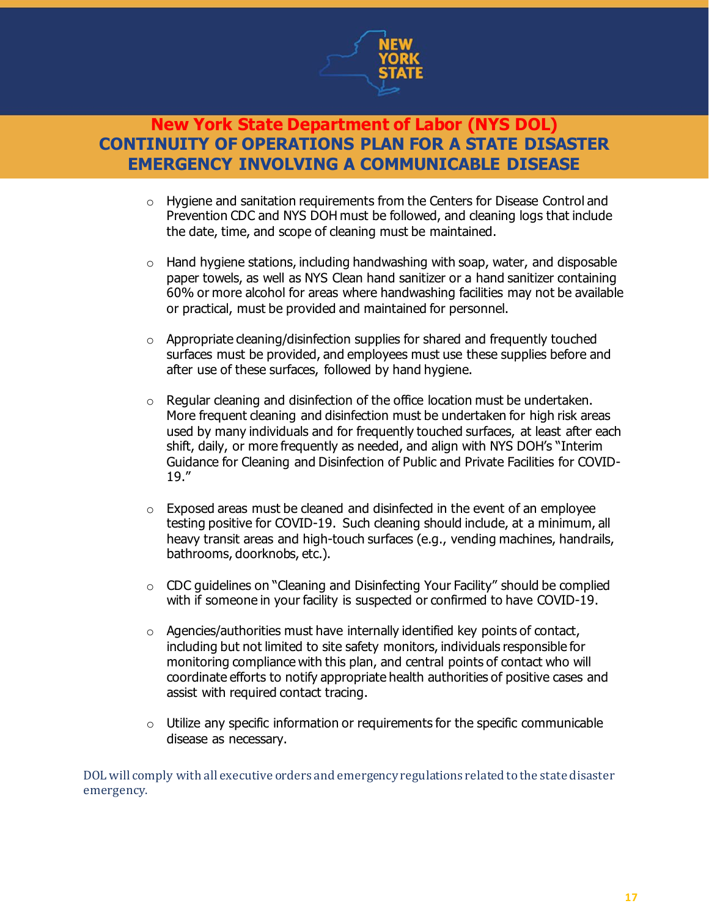

- $\circ$  Hygiene and sanitation requirements from the Centers for Disease Control and Prevention CDC and NYS DOH must be followed, and cleaning logs that include the date, time, and scope of cleaning must be maintained.
- o Hand hygiene stations, including handwashing with soap, water, and disposable paper towels, as well as NYS Clean hand sanitizer or a hand sanitizer containing 60% or more alcohol for areas where handwashing facilities may not be available or practical, must be provided and maintained for personnel.
- $\circ$  Appropriate cleaning/disinfection supplies for shared and frequently touched surfaces must be provided, and employees must use these supplies before and after use of these surfaces, followed by hand hygiene.
- $\circ$  Regular cleaning and disinfection of the office location must be undertaken. More frequent cleaning and disinfection must be undertaken for high risk areas used by many individuals and for frequently touched surfaces, at least after each shift, daily, or more frequently as needed, and align with NYS DOH's "Interim Guidance for Cleaning and Disinfection of Public and Private Facilities for COVID-19."
- $\circ$  Exposed areas must be cleaned and disinfected in the event of an employee testing positive for COVID-19. Such cleaning should include, at a minimum, all heavy transit areas and high-touch surfaces (e.g., vending machines, handrails, bathrooms, doorknobs, etc.).
- $\circ$  CDC quidelines on "Cleaning and Disinfecting Your Facility" should be complied with if someone in your facility is suspected or confirmed to have COVID-19.
- o Agencies/authorities must have internally identified key points of contact, including but not limited to site safety monitors, individuals responsible for monitoring compliance with this plan, and central points of contact who will coordinate efforts to notify appropriate health authorities of positive cases and assist with required contact tracing.
- $\circ$  Utilize any specific information or requirements for the specific communicable disease as necessary.

DOL will comply with all executive orders and emergency regulations related to the state disaster emergency.